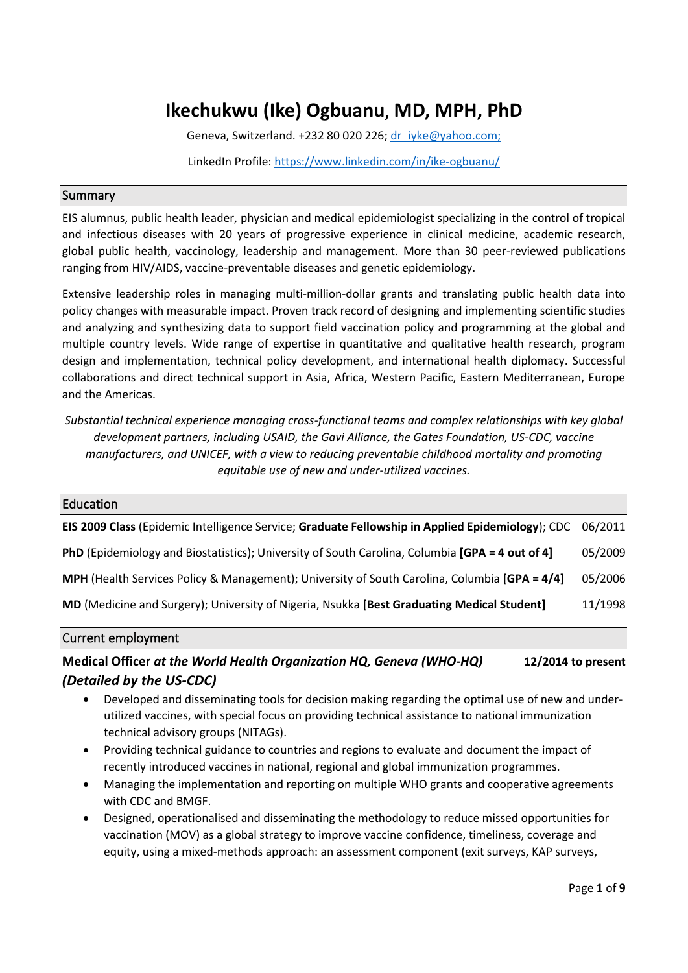# **Ikechukwu (Ike) Ogbuanu**, **MD, MPH, PhD**

Geneva, Switzerland. +232 80 020 226; [dr\\_iyke@yahoo.com;](mailto:dr_iyke@yahoo.com;I)

LinkedIn Profile[: https://www.linkedin.com/in/ike-ogbuanu/](https://www.linkedin.com/in/ike-ogbuanu/)

### Summary

EIS alumnus, public health leader, physician and medical epidemiologist specializing in the control of tropical and infectious diseases with 20 years of progressive experience in clinical medicine, academic research, global public health, vaccinology, leadership and management. More than 30 peer-reviewed publications ranging from HIV/AIDS, vaccine-preventable diseases and genetic epidemiology.

Extensive leadership roles in managing multi-million-dollar grants and translating public health data into policy changes with measurable impact. Proven track record of designing and implementing scientific studies and analyzing and synthesizing data to support field vaccination policy and programming at the global and multiple country levels. Wide range of expertise in quantitative and qualitative health research, program design and implementation, technical policy development, and international health diplomacy. Successful collaborations and direct technical support in Asia, Africa, Western Pacific, Eastern Mediterranean, Europe and the Americas.

*Substantial technical experience managing cross-functional teams and complex relationships with key global development partners, including USAID, the Gavi Alliance, the Gates Foundation, US-CDC, vaccine manufacturers, and UNICEF, with a view to reducing preventable childhood mortality and promoting equitable use of new and under-utilized vaccines.*

| Education                                                                                        |         |
|--------------------------------------------------------------------------------------------------|---------|
| EIS 2009 Class (Epidemic Intelligence Service; Graduate Fellowship in Applied Epidemiology); CDC | 06/2011 |
| PhD (Epidemiology and Biostatistics); University of South Carolina, Columbia [GPA = 4 out of 4]  | 05/2009 |
| MPH (Health Services Policy & Management); University of South Carolina, Columbia [GPA = 4/4]    | 05/2006 |
| MD (Medicine and Surgery); University of Nigeria, Nsukka [Best Graduating Medical Student]       | 11/1998 |

### Current employment

# **Medical Officer** *at the World Health Organization HQ, Geneva (WHO-HQ)* **12/2014 to present** *(Detailed by the US-CDC)*

- Developed and disseminating tools for decision making regarding the optimal use of new and underutilized vaccines, with special focus on providing technical assistance to national immunization technical advisory groups (NITAGs).
- Providing technical guidance to countries and regions to evaluate and document the impact of recently introduced vaccines in national, regional and global immunization programmes.
- Managing the implementation and reporting on multiple WHO grants and cooperative agreements with CDC and BMGF.
- Designed, operationalised and disseminating the methodology to reduce missed opportunities for vaccination (MOV) as a global strategy to improve vaccine confidence, timeliness, coverage and equity, using a mixed-methods approach: an assessment component (exit surveys, KAP surveys,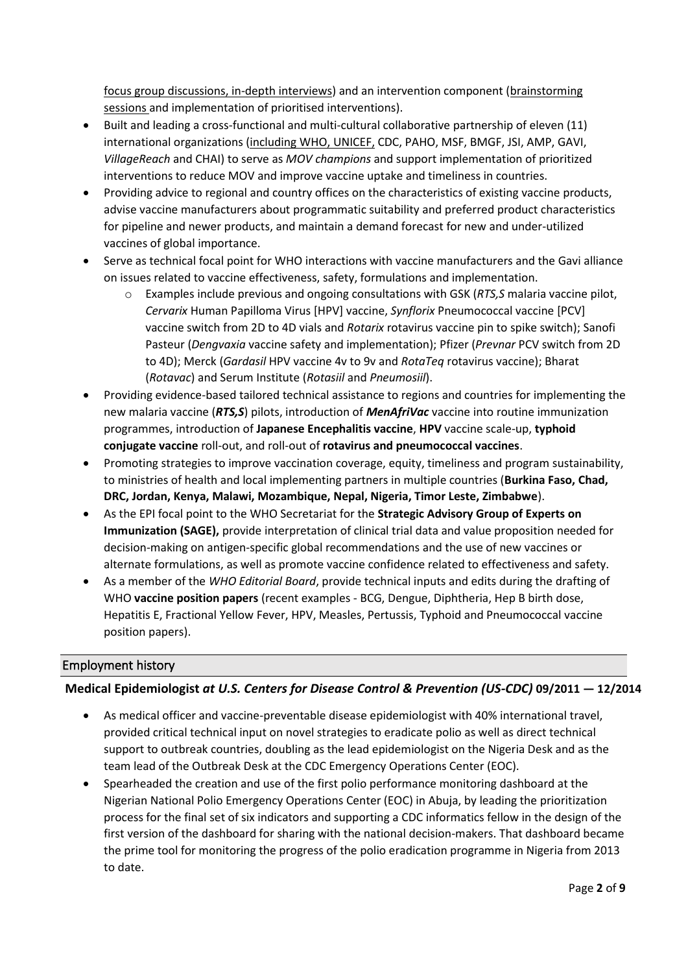focus group discussions, in-depth interviews) and an intervention component (brainstorming sessions and implementation of prioritised interventions).

- Built and leading a cross-functional and multi-cultural collaborative partnership of eleven (11) international organizations (including WHO, UNICEF, CDC, PAHO, MSF, BMGF, JSI, AMP, GAVI, *VillageReach* and CHAI) to serve as *MOV champions* and support implementation of prioritized interventions to reduce MOV and improve vaccine uptake and timeliness in countries.
- Providing advice to regional and country offices on the characteristics of existing vaccine products, advise vaccine manufacturers about programmatic suitability and preferred product characteristics for pipeline and newer products, and maintain a demand forecast for new and under-utilized vaccines of global importance.
- Serve as technical focal point for WHO interactions with vaccine manufacturers and the Gavi alliance on issues related to vaccine effectiveness, safety, formulations and implementation.
	- o Examples include previous and ongoing consultations with GSK (*RTS,S* malaria vaccine pilot, *Cervarix* Human Papilloma Virus [HPV] vaccine, *Synflorix* Pneumococcal vaccine [PCV] vaccine switch from 2D to 4D vials and *Rotarix* rotavirus vaccine pin to spike switch); Sanofi Pasteur (*Dengvaxia* vaccine safety and implementation); Pfizer (*Prevnar* PCV switch from 2D to 4D); Merck (*Gardasil* HPV vaccine 4v to 9v and *RotaTeq* rotavirus vaccine); Bharat (*Rotavac*) and Serum Institute (*Rotasiil* and *Pneumosiil*).
- Providing evidence-based tailored technical assistance to regions and countries for implementing the new malaria vaccine (*RTS,S*) pilots, introduction of *MenAfriVac* vaccine into routine immunization programmes, introduction of **Japanese Encephalitis vaccine**, **HPV** vaccine scale-up, **typhoid conjugate vaccine** roll-out, and roll-out of **rotavirus and pneumococcal vaccines**.
- Promoting strategies to improve vaccination coverage, equity, timeliness and program sustainability, to ministries of health and local implementing partners in multiple countries (**Burkina Faso, Chad, DRC, Jordan, Kenya, Malawi, Mozambique, Nepal, Nigeria, Timor Leste, Zimbabwe**).
- As the EPI focal point to the WHO Secretariat for the **Strategic Advisory Group of Experts on Immunization (SAGE),** provide interpretation of clinical trial data and value proposition needed for decision-making on antigen-specific global recommendations and the use of new vaccines or alternate formulations, as well as promote vaccine confidence related to effectiveness and safety.
- As a member of the *WHO Editorial Board*, provide technical inputs and edits during the drafting of WHO **vaccine position papers** (recent examples - BCG, Dengue, Diphtheria, Hep B birth dose, Hepatitis E, Fractional Yellow Fever, HPV, Measles, Pertussis, Typhoid and Pneumococcal vaccine position papers).

# Employment history

# **Medical Epidemiologist** *at U.S. Centers for Disease Control & Prevention (US-CDC)* **09/2011 — 12/2014**

- As medical officer and vaccine-preventable disease epidemiologist with 40% international travel, provided critical technical input on novel strategies to eradicate polio as well as direct technical support to outbreak countries, doubling as the lead epidemiologist on the Nigeria Desk and as the team lead of the Outbreak Desk at the CDC Emergency Operations Center (EOC).
- Spearheaded the creation and use of the first polio performance monitoring dashboard at the Nigerian National Polio Emergency Operations Center (EOC) in Abuja, by leading the prioritization process for the final set of six indicators and supporting a CDC informatics fellow in the design of the first version of the dashboard for sharing with the national decision-makers. That dashboard became the prime tool for monitoring the progress of the polio eradication programme in Nigeria from 2013 to date.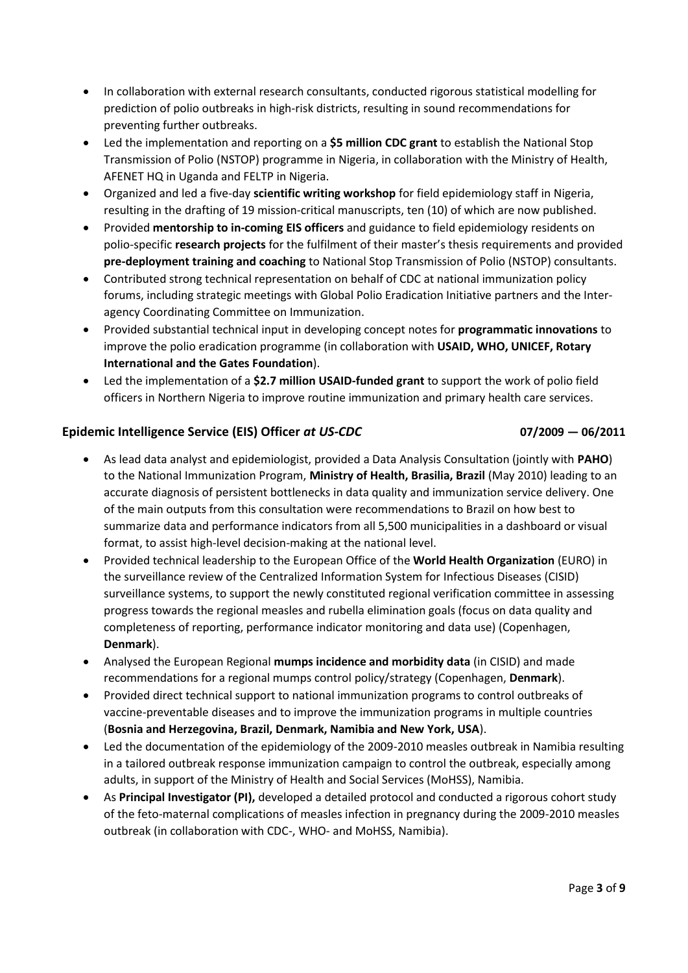- In collaboration with external research consultants, conducted rigorous statistical modelling for prediction of polio outbreaks in high-risk districts, resulting in sound recommendations for preventing further outbreaks.
- Led the implementation and reporting on a **\$5 million CDC grant** to establish the National Stop Transmission of Polio (NSTOP) programme in Nigeria, in collaboration with the Ministry of Health, AFENET HQ in Uganda and FELTP in Nigeria.
- Organized and led a five-day **scientific writing workshop** for field epidemiology staff in Nigeria, resulting in the drafting of 19 mission-critical manuscripts, ten (10) of which are now published.
- Provided **mentorship to in-coming EIS officers** and guidance to field epidemiology residents on polio-specific **research projects** for the fulfilment of their master's thesis requirements and provided **pre-deployment training and coaching** to National Stop Transmission of Polio (NSTOP) consultants.
- Contributed strong technical representation on behalf of CDC at national immunization policy forums, including strategic meetings with Global Polio Eradication Initiative partners and the Interagency Coordinating Committee on Immunization.
- Provided substantial technical input in developing concept notes for **programmatic innovations** to improve the polio eradication programme (in collaboration with **USAID, WHO, UNICEF, Rotary International and the Gates Foundation**).
- Led the implementation of a **\$2.7 million USAID-funded grant** to support the work of polio field officers in Northern Nigeria to improve routine immunization and primary health care services.

# **Epidemic Intelligence Service (EIS) Officer** *at US-CDC* **07/2009 — 06/2011**

- As lead data analyst and epidemiologist, provided a Data Analysis Consultation (jointly with **PAHO**) to the National Immunization Program, **Ministry of Health, Brasilia, Brazil** (May 2010) leading to an accurate diagnosis of persistent bottlenecks in data quality and immunization service delivery. One of the main outputs from this consultation were recommendations to Brazil on how best to summarize data and performance indicators from all 5,500 municipalities in a dashboard or visual format, to assist high-level decision-making at the national level.
- Provided technical leadership to the European Office of the **World Health Organization** (EURO) in the surveillance review of the Centralized Information System for Infectious Diseases (CISID) surveillance systems, to support the newly constituted regional verification committee in assessing progress towards the regional measles and rubella elimination goals (focus on data quality and completeness of reporting, performance indicator monitoring and data use) (Copenhagen, **Denmark**).
- Analysed the European Regional **mumps incidence and morbidity data** (in CISID) and made recommendations for a regional mumps control policy/strategy (Copenhagen, **Denmark**).
- Provided direct technical support to national immunization programs to control outbreaks of vaccine-preventable diseases and to improve the immunization programs in multiple countries (**Bosnia and Herzegovina, Brazil, Denmark, Namibia and New York, USA**).
- Led the documentation of the epidemiology of the 2009-2010 measles outbreak in Namibia resulting in a tailored outbreak response immunization campaign to control the outbreak, especially among adults, in support of the Ministry of Health and Social Services (MoHSS), Namibia.
- As **Principal Investigator (PI),** developed a detailed protocol and conducted a rigorous cohort study of the feto-maternal complications of measles infection in pregnancy during the 2009-2010 measles outbreak (in collaboration with CDC-, WHO- and MoHSS, Namibia).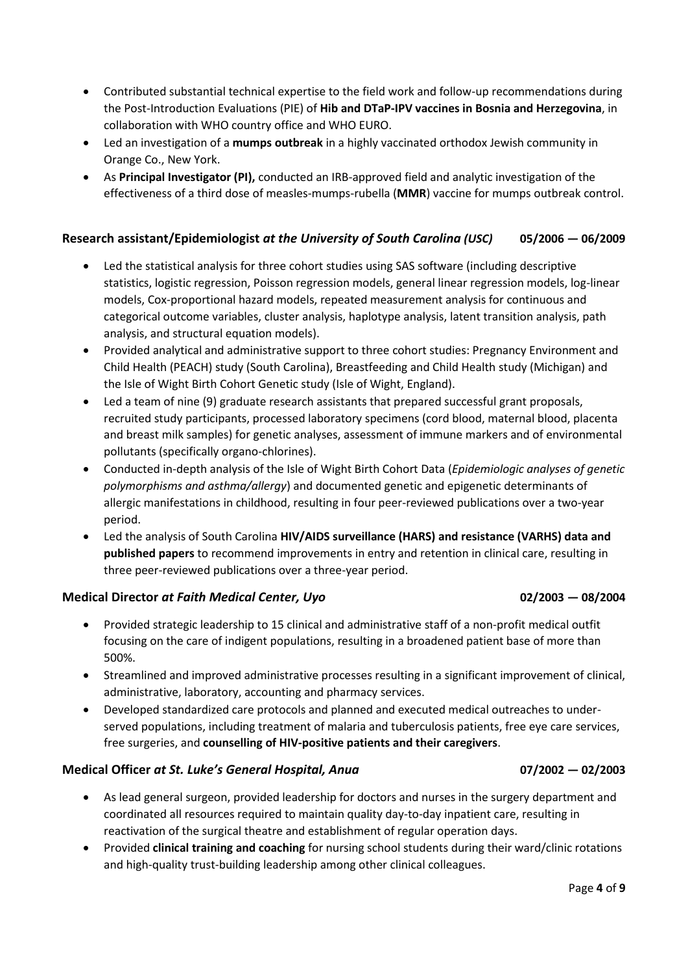- Contributed substantial technical expertise to the field work and follow-up recommendations during the Post-Introduction Evaluations (PIE) of **Hib and DTaP-IPV vaccines in Bosnia and Herzegovina**, in collaboration with WHO country office and WHO EURO.
- Led an investigation of a **mumps outbreak** in a highly vaccinated orthodox Jewish community in Orange Co., New York.
- As **Principal Investigator (PI),** conducted an IRB-approved field and analytic investigation of the effectiveness of a third dose of measles-mumps-rubella (**MMR**) vaccine for mumps outbreak control.

# **Research assistant/Epidemiologist** *at the University of South Carolina (USC)* **05/2006 — 06/2009**

- Led the statistical analysis for three cohort studies using SAS software (including descriptive statistics, logistic regression, Poisson regression models, general linear regression models, log-linear models, Cox-proportional hazard models, repeated measurement analysis for continuous and categorical outcome variables, cluster analysis, haplotype analysis, latent transition analysis, path analysis, and structural equation models).
- Provided analytical and administrative support to three cohort studies: Pregnancy Environment and Child Health (PEACH) study (South Carolina), Breastfeeding and Child Health study (Michigan) and the Isle of Wight Birth Cohort Genetic study (Isle of Wight, England).
- Led a team of nine (9) graduate research assistants that prepared successful grant proposals, recruited study participants, processed laboratory specimens (cord blood, maternal blood, placenta and breast milk samples) for genetic analyses, assessment of immune markers and of environmental pollutants (specifically organo-chlorines).
- Conducted in-depth analysis of the Isle of Wight Birth Cohort Data (*Epidemiologic analyses of genetic polymorphisms and asthma/allergy*) and documented genetic and epigenetic determinants of allergic manifestations in childhood, resulting in four peer-reviewed publications over a two-year period.
- Led the analysis of South Carolina **HIV/AIDS surveillance (HARS) and resistance (VARHS) data and published papers** to recommend improvements in entry and retention in clinical care, resulting in three peer-reviewed publications over a three-year period.

# **Medical Director** *at Faith Medical Center, Uyo* **02/2003 — 08/2004**

- Provided strategic leadership to 15 clinical and administrative staff of a non-profit medical outfit focusing on the care of indigent populations, resulting in a broadened patient base of more than 500%.
- Streamlined and improved administrative processes resulting in a significant improvement of clinical, administrative, laboratory, accounting and pharmacy services.
- Developed standardized care protocols and planned and executed medical outreaches to underserved populations, including treatment of malaria and tuberculosis patients, free eye care services, free surgeries, and **counselling of HIV-positive patients and their caregivers**.

# **Medical Officer** *at St. Luke's General Hospital, Anua* **07/2002 — 02/2003**

- As lead general surgeon, provided leadership for doctors and nurses in the surgery department and coordinated all resources required to maintain quality day-to-day inpatient care, resulting in reactivation of the surgical theatre and establishment of regular operation days.
- Provided **clinical training and coaching** for nursing school students during their ward/clinic rotations and high-quality trust-building leadership among other clinical colleagues.

Page **4** of **9**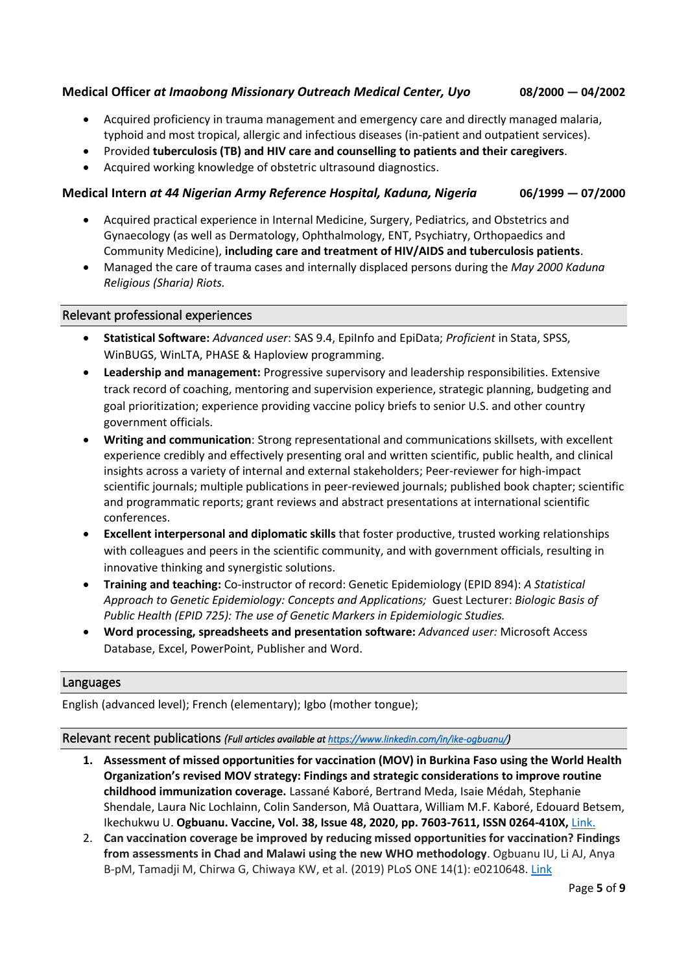# **Medical Officer** *at Imaobong Missionary Outreach Medical Center, Uyo* **08/2000 — 04/2002**

- Acquired proficiency in trauma management and emergency care and directly managed malaria, typhoid and most tropical, allergic and infectious diseases (in-patient and outpatient services).
- Provided **tuberculosis (TB) and HIV care and counselling to patients and their caregivers**.
- Acquired working knowledge of obstetric ultrasound diagnostics.

## **Medical Intern** *at 44 Nigerian Army Reference Hospital, Kaduna, Nigeria* **06/1999 — 07/2000**

- Acquired practical experience in Internal Medicine, Surgery, Pediatrics, and Obstetrics and Gynaecology (as well as Dermatology, Ophthalmology, ENT, Psychiatry, Orthopaedics and Community Medicine), **including care and treatment of HIV/AIDS and tuberculosis patients**.
- Managed the care of trauma cases and internally displaced persons during the *May 2000 Kaduna Religious (Sharia) Riots.*

### Relevant professional experiences

- **Statistical Software:** *Advanced user*: SAS 9.4, EpiInfo and EpiData; *Proficient* in Stata, SPSS, WinBUGS, WinLTA, PHASE & Haploview programming.
- **Leadership and management:** Progressive supervisory and leadership responsibilities. Extensive track record of coaching, mentoring and supervision experience, strategic planning, budgeting and goal prioritization; experience providing vaccine policy briefs to senior U.S. and other country government officials.
- **Writing and communication**: Strong representational and communications skillsets, with excellent experience credibly and effectively presenting oral and written scientific, public health, and clinical insights across a variety of internal and external stakeholders; Peer-reviewer for high-impact scientific journals; multiple publications in peer-reviewed journals; published book chapter; scientific and programmatic reports; grant reviews and abstract presentations at international scientific conferences.
- **Excellent interpersonal and diplomatic skills** that foster productive, trusted working relationships with colleagues and peers in the scientific community, and with government officials, resulting in innovative thinking and synergistic solutions.
- **Training and teaching:** Co-instructor of record: Genetic Epidemiology (EPID 894): *A Statistical Approach to Genetic Epidemiology: Concepts and Applications;* Guest Lecturer: *Biologic Basis of Public Health (EPID 725): The use of Genetic Markers in Epidemiologic Studies.*
- **Word processing, spreadsheets and presentation software:** *Advanced user:* Microsoft Access Database, Excel, PowerPoint, Publisher and Word.

### Languages

English (advanced level); French (elementary); Igbo (mother tongue);

### Relevant recent publications *(Full articles available a[t https://www.linkedin.com/in/ike-ogbuanu/](https://www.linkedin.com/in/ike-ogbuanu/))*

- **1. Assessment of missed opportunities for vaccination (MOV) in Burkina Faso using the World Health Organization's revised MOV strategy: Findings and strategic considerations to improve routine childhood immunization coverage.** Lassané Kaboré, Bertrand Meda, Isaie Médah, Stephanie Shendale, Laura Nic Lochlainn, Colin Sanderson, Mâ Ouattara, William M.F. Kaboré, Edouard Betsem, Ikechukwu U. **Ogbuanu. Vaccine, Vol. 38, Issue 48, 2020, pp. 7603-7611, ISSN 0264-410X,** [Link.](https://www.sciencedirect.com/science/article/pii/S0264410X20313141)
- 2. **Can vaccination coverage be improved by reducing missed opportunities for vaccination? Findings from assessments in Chad and Malawi using the new WHO methodology**. Ogbuanu IU, Li AJ, Anya B-pM, Tamadji M, Chirwa G, Chiwaya KW, et al. (2019) PLoS ONE 14(1): e0210648[. Link](https://doi.org/10.1371/journal.pone.0210648)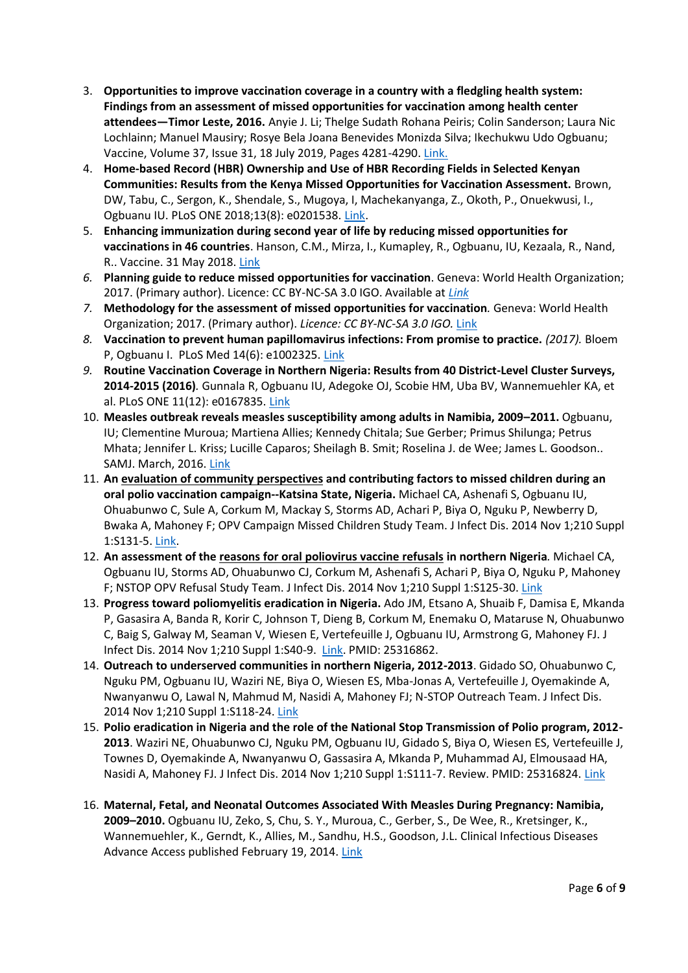- 3. **Opportunities to improve vaccination coverage in a country with a fledgling health system: Findings from an assessment of missed opportunities for vaccination among health center attendees—Timor Leste, 2016.** Anyie J. Li; Thelge Sudath Rohana Peiris; Colin Sanderson; Laura Nic Lochlainn; Manuel Mausiry; Rosye Bela Joana Benevides Monizda Silva; Ikechukwu Udo Ogbuanu; Vaccine, Volume 37, Issue 31, 18 July 2019, Pages 4281-4290. [Link.](https://doi.org/10.1016/j.vaccine.2019.06.041)
- 4. **Home-based Record (HBR) Ownership and Use of HBR Recording Fields in Selected Kenyan Communities: Results from the Kenya Missed Opportunities for Vaccination Assessment.** Brown, DW, Tabu, C., Sergon, K., Shendale, S., Mugoya, I, Machekanyanga, Z., Okoth, P., Onuekwusi, I., Ogbuanu IU. PLoS ONE 2018;13(8): e0201538. [Link.](http://journals.plos.org/plosone/article?id=10.1371/journal.pone.0201538)
- 5. **Enhancing immunization during second year of life by reducing missed opportunities for vaccinations in 46 countries**. Hanson, C.M., Mirza, I., Kumapley, R., Ogbuanu, IU, Kezaala, R., Nand, R.. Vaccine. 31 May 2018. [Link](https://www.sciencedirect.com/science/article/pii/S0264410X18305772)
- *6.* **Planning guide to reduce missed opportunities for vaccination**. Geneva: World Health Organization; 2017. (Primary author). Licence: CC BY-NC-SA 3.0 IGO. Available at *[Link](http://www.who.int/immunization/programmes_systems/policies_strategies/MOV/en/)*
- *7.* **Methodology for the assessment of missed opportunities for vaccination***.* Geneva: World Health Organization; 2017. (Primary author). *Licence: CC BY-NC-SA 3.0 IGO.* [Link](http://www.who.int/immunization/programmes_systems/policies_strategies/MOV/en/)
- *8.* **Vaccination to prevent human papillomavirus infections: From promise to practice.** *(2017).* Bloem P, Ogbuanu I. PLoS Med 14(6): e1002325. [Link](https://doi.org/10.1371/journal.pmed.1002325)
- *9.* **Routine Vaccination Coverage in Northern Nigeria: Results from 40 District-Level Cluster Surveys, [2014-2015](tel:2014-2015) (2016)***.* Gunnala R, Ogbuanu IU, Adegoke OJ, Scobie HM, Uba BV, Wannemuehler KA, et al. PLoS ONE 11(12): e0167835. [Link](https://doi.org/10.1371/journal.pone.0167835)
- 10. **Measles outbreak reveals measles susceptibility among adults in Namibia, 2009–2011.** Ogbuanu, IU; Clementine Muroua; Martiena Allies; Kennedy Chitala; Sue Gerber; Primus Shilunga; Petrus Mhata; Jennifer L. Kriss; Lucille Caparos; Sheilagh B. Smit; Roselina J. de Wee; James L. Goodson.. SAMJ. March, 2016. [Link](http://www.scielo.org.za/pdf/samj/v106n7/29.pdf)
- 11. **An evaluation of community perspectives and contributing factors to missed children during an oral polio vaccination campaign--Katsina State, Nigeria.** Michael CA, Ashenafi S, Ogbuanu IU, Ohuabunwo C, Sule A, Corkum M, Mackay S, Storms AD, Achari P, Biya O, Nguku P, Newberry D, Bwaka A, Mahoney F; OPV Campaign Missed Children Study Team. J Infect Dis. 2014 Nov 1;210 Suppl 1:S131-5[. Link.](https://academic.oup.com/jid/article/210/suppl_1/S131/2194408)
- 12. **An assessment of the reasons for oral poliovirus vaccine refusals in northern Nigeria***.* Michael CA, Ogbuanu IU, Storms AD, Ohuabunwo CJ, Corkum M, Ashenafi S, Achari P, Biya O, Nguku P, Mahoney F; NSTOP OPV Refusal Study Team. J Infect Dis. 2014 Nov 1;210 Suppl 1:S125-30[. Link](https://academic.oup.com/jid/article/210/suppl_1/S125/2194425)
- 13. **Progress toward poliomyelitis eradication in Nigeria.** Ado JM, Etsano A, Shuaib F, Damisa E, Mkanda P, Gasasira A, Banda R, Korir C, Johnson T, Dieng B, Corkum M, Enemaku O, Mataruse N, Ohuabunwo C, Baig S, Galway M, Seaman V, Wiesen E, Vertefeuille J, Ogbuanu IU, Armstrong G, Mahoney FJ. J Infect Dis. 2014 Nov 1;210 Suppl 1:S40-9. [Link.](https://academic.oup.com/jid/article/210/suppl_1/S40/2194415) PMID: 25316862.
- 14. **Outreach to underserved communities in northern Nigeria, 2012-2013**. Gidado SO, Ohuabunwo C, Nguku PM, Ogbuanu IU, Waziri NE, Biya O, Wiesen ES, Mba-Jonas A, Vertefeuille J, Oyemakinde A, Nwanyanwu O, Lawal N, Mahmud M, Nasidi A, Mahoney FJ; N-STOP Outreach Team. J Infect Dis. 2014 Nov 1;210 Suppl 1:S118-24. [Link](https://academic.oup.com/jid/article/210/suppl_1/S118/2194390.)
- 15. **Polio eradication in Nigeria and the role of the National Stop Transmission of Polio program, 2012- 2013**. Waziri NE, Ohuabunwo CJ, Nguku PM, Ogbuanu IU, Gidado S, Biya O, Wiesen ES, Vertefeuille J, Townes D, Oyemakinde A, Nwanyanwu O, Gassasira A, Mkanda P, Muhammad AJ, Elmousaad HA, Nasidi A, Mahoney FJ. J Infect Dis. 2014 Nov 1;210 Suppl 1:S111-7. Review. PMID: 25316824[. Link](https://academic.oup.com/jid/article/210/suppl_1/S111/2194391.)
- 16. **Maternal, Fetal, and Neonatal Outcomes Associated With Measles During Pregnancy: Namibia, 2009–2010.** Ogbuanu IU, Zeko, S, Chu, S. Y., Muroua, C., Gerber, S., De Wee, R., Kretsinger, K., Wannemuehler, K., Gerndt, K., Allies, M., Sandhu, H.S., Goodson, J.L. Clinical Infectious Diseases Advance Access published February 19, 2014[. Link](https://academic.oup.com/cid/article/58/8/1086/356684.)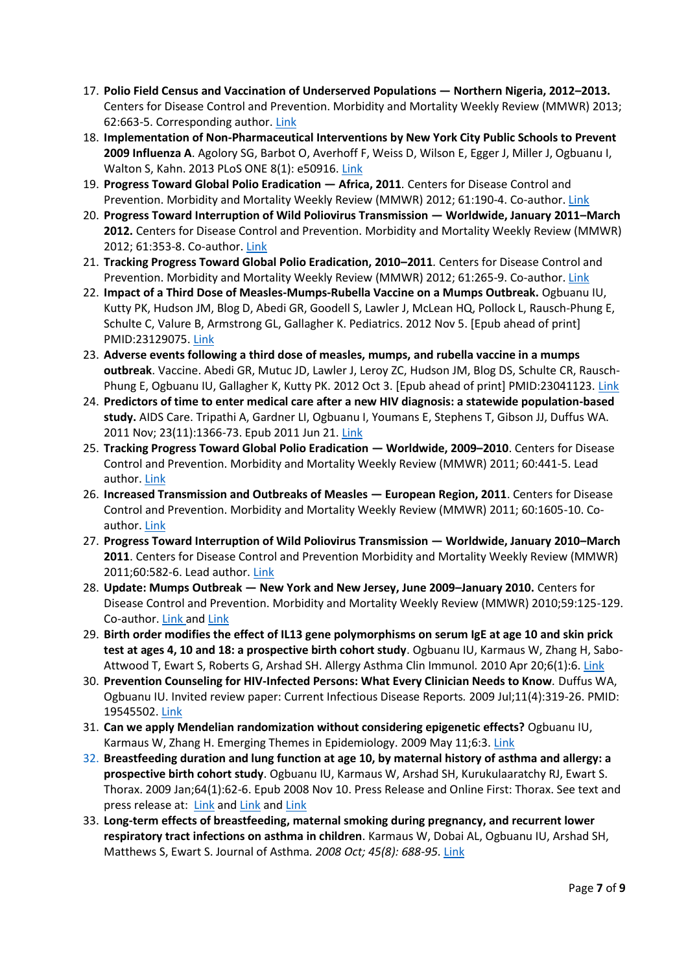- 17. **Polio Field Census and Vaccination of Underserved Populations — Northern Nigeria, 2012–2013.** Centers for Disease Control and Prevention. Morbidity and Mortality Weekly Review (MMWR) 2013; 62:663-5. Corresponding author[. Link](https://www.cdc.gov/mmwr/preview/mmwrhtml/mm6233a3.htm)
- 18. **Implementation of Non-Pharmaceutical Interventions by New York City Public Schools to Prevent 2009 Influenza A**. Agolory SG, Barbot O, Averhoff F, Weiss D, Wilson E, Egger J, Miller J, Ogbuanu I, Walton S, Kahn. 2013 PLoS ONE 8(1): e50916. [Link](http://journals.plos.org/plosone/article?id=10.1371/journal.pone.0050916)
- 19. **Progress Toward Global Polio Eradication — Africa, 2011***.* Centers for Disease Control and Prevention. Morbidity and Mortality Weekly Review (MMWR) 2012; 61:190-4. Co-author. [Link](https://www.cdc.gov/mmwr/preview/mmwrhtml/mm6111a4.htm)
- 20. **Progress Toward Interruption of Wild Poliovirus Transmission — Worldwide, January 2011–March 2012.** Centers for Disease Control and Prevention. Morbidity and Mortality Weekly Review (MMWR) 2012; 61:353-8. Co-author. [Link](https://www.cdc.gov/mmwr/preview/mmwrhtml/mm6119a6.htm)
- 21. **Tracking Progress Toward Global Polio Eradication, 2010–2011***.* Centers for Disease Control and Prevention. Morbidity and Mortality Weekly Review (MMWR) 2012; 61:265-9. Co-author. [Link](https://www.cdc.gov/mmwr/preview/mmwrhtml/mm6115a4.htm)
- 22. **Impact of a Third Dose of Measles-Mumps-Rubella Vaccine on a Mumps Outbreak.** Ogbuanu IU, Kutty PK, Hudson JM, Blog D, Abedi GR, Goodell S, Lawler J, McLean HQ, Pollock L, Rausch-Phung E, Schulte C, Valure B, Armstrong GL, Gallagher K. Pediatrics. 2012 Nov 5. [Epub ahead of print] PMID:23129075. [Link](http://pediatrics.aappublications.org/content/130/6/e1567)
- 23. **Adverse events following a third dose of measles, mumps, and rubella vaccine in a mumps outbreak**. Vaccine. Abedi GR, Mutuc JD, Lawler J, Leroy ZC, Hudson JM, Blog DS, Schulte CR, Rausch-Phung E, Ogbuanu IU, Gallagher K, Kutty PK. 2012 Oct 3. [Epub ahead of print] PMID:23041123[. Link](https://www.sciencedirect.com/science/article/pii/S0264410X12013734)
- 24. **Predictors of time to enter medical care after a new HIV diagnosis: a statewide population-based study.** AIDS Care. Tripathi A, Gardner LI, Ogbuanu I, Youmans E, Stephens T, Gibson JJ, Duffus WA. 2011 Nov; 23(11):1366-73. Epub 2011 Jun 21. [Link](http://www.tandfonline.com/doi/abs/10.1080/09540121.2011.565032)
- 25. **Tracking Progress Toward Global Polio Eradication — Worldwide, 2009–2010**. Centers for Disease Control and Prevention. Morbidity and Mortality Weekly Review (MMWR) 2011; 60:441-5. Lead author. [Link](https://www.cdc.gov/mmwr/preview/mmwrhtml/mm6014a2.htm)
- 26. **Increased Transmission and Outbreaks of Measles — European Region, 2011**. Centers for Disease Control and Prevention. Morbidity and Mortality Weekly Review (MMWR) 2011; 60:1605-10. Coauthor. [Link](https://www.cdc.gov/mmwr/preview/mmwrhtml/mm6047a1.htm)
- 27. **Progress Toward Interruption of Wild Poliovirus Transmission — Worldwide, January 2010–March 2011**. Centers for Disease Control and Prevention Morbidity and Mortality Weekly Review (MMWR) 2011;60:582-6. Lead author. [Link](https://www.cdc.gov/mmwr/preview/mmwrhtml/mm6018a3.htm)
- 28. **Update: Mumps Outbreak — New York and New Jersey, June 2009–January 2010.** Centers for Disease Control and Prevention. Morbidity and Mortality Weekly Review (MMWR) 2010;59:125-129. Co-author. [Link](http://www.cnn.com/2010/HEALTH/02/11/mumps.outbreak/index.html?iref=allsearch) and [Link](https://www.cdc.gov/mmwr/preview/mmwrhtml/mm5905a1.htm)
- 29. **Birth order modifies the effect of IL13 gene polymorphisms on serum IgE at age 10 and skin prick test at ages 4, 10 and 18: a prospective birth cohort study**. Ogbuanu IU, Karmaus W, Zhang H, Sabo-Attwood T, Ewart S, Roberts G, Arshad SH. Allergy Asthma Clin Immunol*.* 2010 Apr 20;6(1):6. [Link](https://www.ncbi.nlm.nih.gov/pmc/articles/PMC2874524/pdf/1710-1492-6-6.pdf)
- 30. **Prevention Counseling for HIV-Infected Persons: What Every Clinician Needs to Know***.* Duffus WA, Ogbuanu IU. Invited review paper: Current Infectious Disease Reports*.* 2009 Jul;11(4):319-26. PMID: 19545502[. Link](https://link.springer.com/article/10.1007/s11908-009-0047-x)
- 31. **Can we apply Mendelian randomization without considering epigenetic effects?** Ogbuanu IU, Karmaus W, Zhang H. Emerging Themes in Epidemiology. 2009 May 11;6:3[. Link](https://link.springer.com/content/pdf/10.1186%2F1742-7622-6-3.pdf)
- 32. **Breastfeeding duration and lung function at age 10, by maternal history of asthma and allergy: a prospective birth cohort study**. Ogbuanu IU, Karmaus W, Arshad SH, Kurukulaaratchy RJ, Ewart S. Thorax. 2009 Jan;64(1):62-6. Epub 2008 Nov 10. Press Release and Online First: Thorax. See text and press release at: [Link](http://www.reuters.com/article/healthNews/idUSTRE4AD6O220081114) an[d Link](https://www.reuters.com/article/us-kids-lungs/kids-lungs-benefit-from-longer-breast-feeding-idUSTRE5013ML20090102) and [Link](https://www.ncbi.nlm.nih.gov/pmc/articles/PMC2630423/pdf/nihms-87425.pdf)
- 33. **Long-term effects of breastfeeding, maternal smoking during pregnancy, and recurrent lower respiratory tract infections on asthma in children**. Karmaus W, Dobai AL, Ogbuanu IU, Arshad SH, Matthews S, Ewart S. Journal of Asthma*. 2008 Oct; 45(8): 688-95.* [Link](https://www.ncbi.nlm.nih.gov/pmc/articles/PMC2700345/pdf/nihms87424.pdf)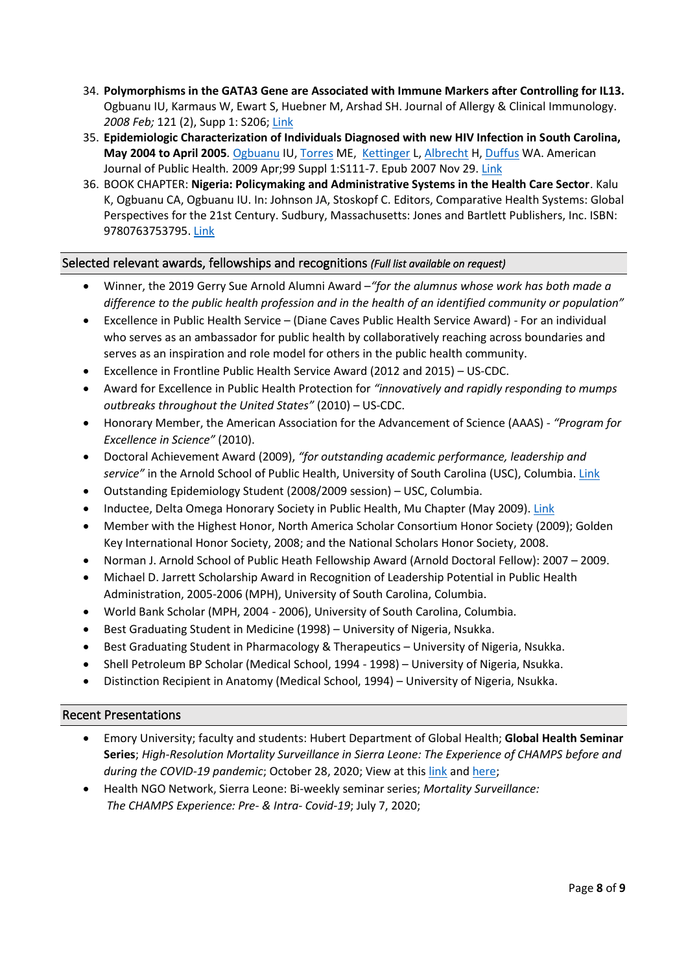- 34. **Polymorphisms in the GATA3 Gene are Associated with Immune Markers after Controlling for IL13.** Ogbuanu IU, Karmaus W, Ewart S, Huebner M, Arshad SH. Journal of Allergy & Clinical Immunology. *2008 Feb;* 121 (2), Supp 1: S206; [Link](http://www.jacionline.org/article/S0091-6749(07)03195-8/pdf)
- 35. **Epidemiologic Characterization of Individuals Diagnosed with new HIV Infection in South Carolina, May 2004 to April 2005***.* [Ogbuanu](http://www.ncbi.nlm.nih.gov/sites/entrez?Db=pubmed&Cmd=Search&Term=%22Ogbuanu%20IU%22%5BAuthor%5D&itool=EntrezSystem2.PEntrez.Pubmed.Pubmed_ResultsPanel.Pubmed_DiscoveryPanel.Pubmed_RVAbstractPlus) IU, [Torres](http://www.ncbi.nlm.nih.gov/sites/entrez?Db=pubmed&Cmd=Search&Term=%22Torres%20ME%22%5BAuthor%5D&itool=EntrezSystem2.PEntrez.Pubmed.Pubmed_ResultsPanel.Pubmed_DiscoveryPanel.Pubmed_RVAbstractPlus) ME, [Kettinger](http://www.ncbi.nlm.nih.gov/sites/entrez?Db=pubmed&Cmd=Search&Term=%22Kettinger%20L%22%5BAuthor%5D&itool=EntrezSystem2.PEntrez.Pubmed.Pubmed_ResultsPanel.Pubmed_DiscoveryPanel.Pubmed_RVAbstractPlus) L, [Albrecht](http://www.ncbi.nlm.nih.gov/sites/entrez?Db=pubmed&Cmd=Search&Term=%22Albrecht%20H%22%5BAuthor%5D&itool=EntrezSystem2.PEntrez.Pubmed.Pubmed_ResultsPanel.Pubmed_DiscoveryPanel.Pubmed_RVAbstractPlus) H, [Duffus](http://www.ncbi.nlm.nih.gov/sites/entrez?Db=pubmed&Cmd=Search&Term=%22Duffus%20WA%22%5BAuthor%5D&itool=EntrezSystem2.PEntrez.Pubmed.Pubmed_ResultsPanel.Pubmed_DiscoveryPanel.Pubmed_RVAbstractPlus) WA. American Journal of Public Health*.* 2009 Apr;99 Suppl 1:S111-7. Epub 2007 Nov 29. [Link](https://www.ncbi.nlm.nih.gov/pmc/articles/PMC2724932/pdf/S111.pdf)
- 36. BOOK CHAPTER: **Nigeria: Policymaking and Administrative Systems in the Health Care Sector**. Kalu K, Ogbuanu CA, Ogbuanu IU. In: Johnson JA, Stoskopf C. Editors, Comparative Health Systems: Global Perspectives for the 21st Century. Sudbury, Massachusetts: Jones and Bartlett Publishers, Inc. ISBN: 9780763753795[. Link](http://samples.jbpub.com/9780763753795/53795_FMXX_5363.pdf)

### Selected relevant awards, fellowships and recognitions *(Full list available on request)*

- Winner, the 2019 Gerry Sue Arnold Alumni Award –*"for the alumnus whose work has both made a difference to the public health profession and in the health of an identified community or population"*
- Excellence in Public Health Service (Diane Caves Public Health Service Award) For an individual who serves as an ambassador for public health by collaboratively reaching across boundaries and serves as an inspiration and role model for others in the public health community.
- Excellence in Frontline Public Health Service Award (2012 and 2015) US-CDC.
- Award for Excellence in Public Health Protection for *"innovatively and rapidly responding to mumps outbreaks throughout the United States"* (2010) – US-CDC.
- Honorary Member, the American Association for the Advancement of Science (AAAS) *"Program for Excellence in Science"* (2010).
- Doctoral Achievement Award (2009), *"for outstanding academic performance, leadership and service"* in the Arnold School of Public Health, University of South Carolina (USC), Columbia. [Link](http://www.asph.sc.edu/news/2009awards.htm)
- Outstanding Epidemiology Student (2008/2009 session) USC, Columbia.
- Inductee, Delta Omega Honorary Society in Public Health, Mu Chapter (May 2009)[. Link](http://www.asph.sc.edu/news/2009awards.htm)
- Member with the Highest Honor, North America Scholar Consortium Honor Society (2009); Golden Key International Honor Society, 2008; and the National Scholars Honor Society, 2008.
- Norman J. Arnold School of Public Heath Fellowship Award (Arnold Doctoral Fellow): 2007 2009.
- Michael D. Jarrett Scholarship Award in Recognition of Leadership Potential in Public Health Administration, 2005-2006 (MPH), University of South Carolina, Columbia.
- World Bank Scholar (MPH, 2004 2006), University of South Carolina, Columbia.
- Best Graduating Student in Medicine (1998) University of Nigeria, Nsukka.
- Best Graduating Student in Pharmacology & Therapeutics University of Nigeria, Nsukka.
- Shell Petroleum BP Scholar (Medical School, 1994 1998) University of Nigeria, Nsukka.
- Distinction Recipient in Anatomy (Medical School, 1994) University of Nigeria, Nsukka.

### Recent Presentations

- Emory University; faculty and students: Hubert Department of Global Health; **Global Health Seminar Series**; *High-Resolution Mortality Surveillance in Sierra Leone: The Experience of CHAMPS before and during the COVID-19 pandemic*; October 28, 2020; View at this [link](https://www.sph.emory.edu/departments/gh/media/index.html) an[d here;](https://rsph.hosted.panopto.com/Panopto/Pages/Viewer.aspx?id=6e049eee-ff13-4b0b-9a0c-ac62011d7ff7)
- Health NGO Network, Sierra Leone: Bi-weekly seminar series; *Mortality Surveillance: The CHAMPS Experience: Pre- & Intra- Covid-19*; July 7, 2020;